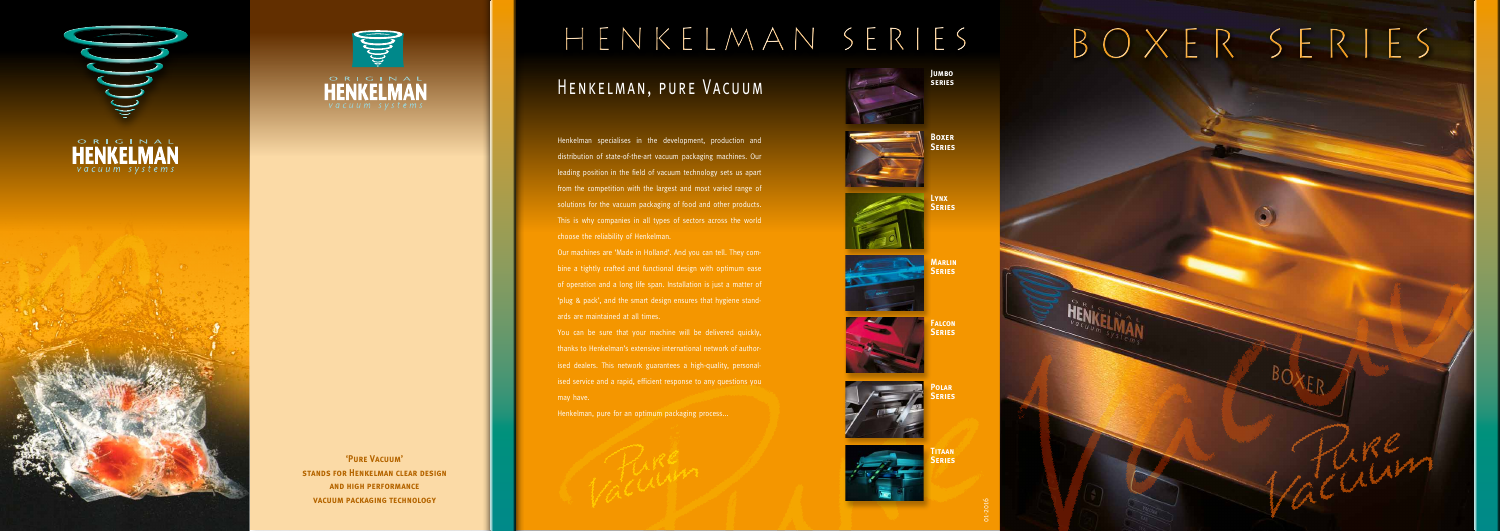







**'Pure Vacuum' STANDS FOR HENKELMAN CLEAR DESIGN and high performance vacuum packaging technology**

Henkelman specialises in the development, production and distribution of state-of-the-art vacuum packaging machines. Our leading position in the field of vacuum technology sets us apart from the competition with the largest and most varied range of solutions for the vacuum packaging of food and other products. This is why companies in all types of sectors across the world choose the reliability of Henkelman.

# Henkelman series Boxer series HENKELMAN, PURE VACUUM **Jumbo series**

Our machines are 'Made in Holland'. And you can tell. They combine a tightly crafted and functional design with optimum ease of operation and a long life span. Installation is just a matter of 'plug & pack', and the smart design ensures that hygiene standards are maintained at all times.

You can be sure that your machine will be delivered quickly, thanks to Henkelman's extensive international network of authorised dealers. This network guarantees a high-quality, personalised service and a rapid, efficient response to any questions you may have.

Henkelman, pure for an optimum packaging process...







**Boxer Series**



**Lynx Series**





**Falcon Series**



**Polar Series**



**Titaan Series**

01-2016